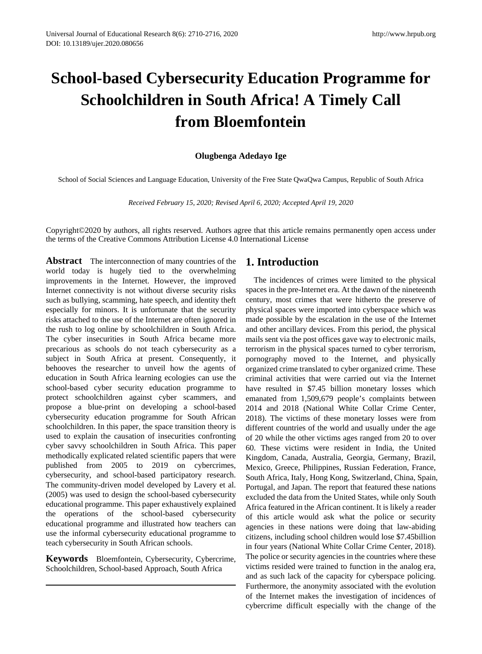# **School-based Cybersecurity Education Programme for Schoolchildren in South Africa! A Timely Call from Bloemfontein**

## **Olugbenga Adedayo Ige**

School of Social Sciences and Language Education, University of the Free State QwaQwa Campus, Republic of South Africa

*Received February 15, 2020; Revised April 6, 2020; Accepted April 19, 2020*

Copyright©2020 by authors, all rights reserved. Authors agree that this article remains permanently open access under the terms of the Creative Commons Attribution License 4.0 International License

**Abstract** The interconnection of many countries of the world today is hugely tied to the overwhelming improvements in the Internet. However, the improved Internet connectivity is not without diverse security risks such as bullying, scamming, hate speech, and identity theft especially for minors. It is unfortunate that the security risks attached to the use of the Internet are often ignored in the rush to log online by schoolchildren in South Africa. The cyber insecurities in South Africa became more precarious as schools do not teach cybersecurity as a subject in South Africa at present. Consequently, it behooves the researcher to unveil how the agents of education in South Africa learning ecologies can use the school-based cyber security education programme to protect schoolchildren against cyber scammers, and propose a blue-print on developing a school-based cybersecurity education programme for South African schoolchildren. In this paper, the space transition theory is used to explain the causation of insecurities confronting cyber savvy schoolchildren in South Africa. This paper methodically explicated related scientific papers that were published from 2005 to 2019 on cybercrimes, cybersecurity, and school-based participatory research. The community-driven model developed by Lavery et al. (2005) was used to design the school-based cybersecurity educational programme. This paper exhaustively explained the operations of the school-based cybersecurity educational programme and illustrated how teachers can use the informal cybersecurity educational programme to teach cybersecurity in South African schools.

**Keywords** Bloemfontein, Cybersecurity, Cybercrime, Schoolchildren, School-based Approach, South Africa

## **1. Introduction**

The incidences of crimes were limited to the physical spaces in the pre-Internet era. At the dawn of the nineteenth century, most crimes that were hitherto the preserve of physical spaces were imported into cyberspace which was made possible by the escalation in the use of the Internet and other ancillary devices. From this period, the physical mails sent via the post offices gave way to electronic mails, terrorism in the physical spaces turned to cyber terrorism, pornography moved to the Internet, and physically organized crime translated to cyber organized crime. These criminal activities that were carried out via the Internet have resulted in \$7.45 billion monetary losses which emanated from 1,509,679 people's complaints between 2014 and 2018 (National White Collar Crime Center, 2018). The victims of these monetary losses were from different countries of the world and usually under the age of 20 while the other victims ages ranged from 20 to over 60. These victims were resident in India, the United Kingdom, Canada, Australia, Georgia, Germany, Brazil, Mexico, Greece, Philippines, Russian Federation, France, South Africa, Italy, Hong Kong, Switzerland, China, Spain, Portugal, and Japan. The report that featured these nations excluded the data from the United States, while only South Africa featured in the African continent. It is likely a reader of this article would ask what the police or security agencies in these nations were doing that law-abiding citizens, including school children would lose \$7.45billion in four years (National White Collar Crime Center, 2018). The police or security agencies in the countries where these victims resided were trained to function in the analog era, and as such lack of the capacity for cyberspace policing. Furthermore, the anonymity associated with the evolution of the Internet makes the investigation of incidences of cybercrime difficult especially with the change of the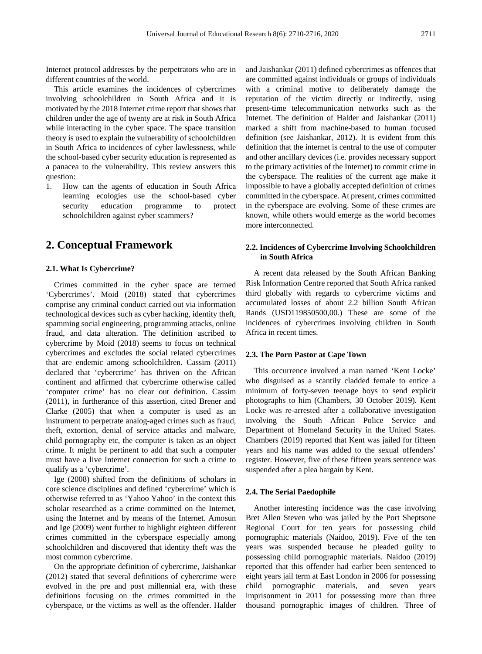Internet protocol addresses by the perpetrators who are in different countries of the world.

This article examines the incidences of cybercrimes involving schoolchildren in South Africa and it is motivated by the 2018 Internet crime report that shows that children under the age of twenty are at risk in South Africa while interacting in the cyber space. The space transition theory is used to explain the vulnerability of schoolchildren in South Africa to incidences of cyber lawlessness, while the school-based cyber security education is represented as a panacea to the vulnerability. This review answers this question:

1. How can the agents of education in South Africa learning ecologies use the school-based cyber security education programme to protect schoolchildren against cyber scammers?

## **2. Conceptual Framework**

#### **2.1. What Is Cybercrime?**

Crimes committed in the cyber space are termed 'Cybercrimes'. Moid (2018) stated that cybercrimes comprise any criminal conduct carried out via information technological devices such as cyber hacking, identity theft, spamming social engineering, programming attacks, online fraud, and data alteration. The definition ascribed to cybercrime by Moid (2018) seems to focus on technical cybercrimes and excludes the social related cybercrimes that are endemic among schoolchildren. Cassim (2011) declared that 'cybercrime' has thriven on the African continent and affirmed that cybercrime otherwise called 'computer crime' has no clear out definition. Cassim (2011), in furtherance of this assertion, cited Brener and Clarke (2005) that when a computer is used as an instrument to perpetrate analog-aged crimes such as fraud, theft, extortion, denial of service attacks and malware, child pornography etc, the computer is taken as an object crime. It might be pertinent to add that such a computer must have a live Internet connection for such a crime to qualify as a 'cybercrime'.

Ige (2008) shifted from the definitions of scholars in core science disciplines and defined 'cybercrime' which is otherwise referred to as 'Yahoo Yahoo' in the context this scholar researched as a crime committed on the Internet, using the Internet and by means of the Internet. Amosun and Ige (2009) went further to highlight eighteen different crimes committed in the cyberspace especially among schoolchildren and discovered that identity theft was the most common cybercrime.

On the appropriate definition of cybercrime, Jaishankar (2012) stated that several definitions of cybercrime were evolved in the pre and post millennial era, with these definitions focusing on the crimes committed in the cyberspace, or the victims as well as the offender. Halder and Jaishankar (2011) defined cybercrimes as offences that are committed against individuals or groups of individuals with a criminal motive to deliberately damage the reputation of the victim directly or indirectly, using present-time telecommunication networks such as the Internet. The definition of Halder and Jaishankar (2011) marked a shift from machine-based to human focused definition (see Jaishankar, 2012). It is evident from this definition that the internet is central to the use of computer and other ancillary devices (i.e. provides necessary support to the primary activities of the Internet) to commit crime in the cyberspace. The realities of the current age make it impossible to have a globally accepted definition of crimes committed in the cyberspace. At present, crimes committed in the cyberspace are evolving. Some of these crimes are known, while others would emerge as the world becomes more interconnected.

## **2.2. Incidences of Cybercrime Involving Schoolchildren in South Africa**

A recent data released by the South African Banking Risk Information Centre reported that South Africa ranked third globally with regards to cybercrime victims and accumulated losses of about 2.2 billion South African Rands (USD119850500,00.) These are some of the incidences of cybercrimes involving children in South Africa in recent times.

#### **2.3. The Porn Pastor at Cape Town**

This occurrence involved a man named 'Kent Locke' who disguised as a scantily cladded female to entice a minimum of forty-seven teenage boys to send explicit photographs to him (Chambers, 30 October 2019). Kent Locke was re-arrested after a collaborative investigation involving the South African Police Service and Department of Homeland Security in the United States. Chambers (2019) reported that Kent was jailed for fifteen years and his name was added to the sexual offenders' register. However, five of these fifteen years sentence was suspended after a plea bargain by Kent.

#### **2.4. The Serial Paedophile**

Another interesting incidence was the case involving Bret Allen Steven who was jailed by the Port Sheptsone Regional Court for ten years for possessing child pornographic materials (Naidoo, 2019). Five of the ten years was suspended because he pleaded guilty to possessing child pornographic materials. Naidoo (2019) reported that this offender had earlier been sentenced to eight years jail term at East London in 2006 for possessing child pornographic materials, and seven years imprisonment in 2011 for possessing more than three thousand pornographic images of children. Three of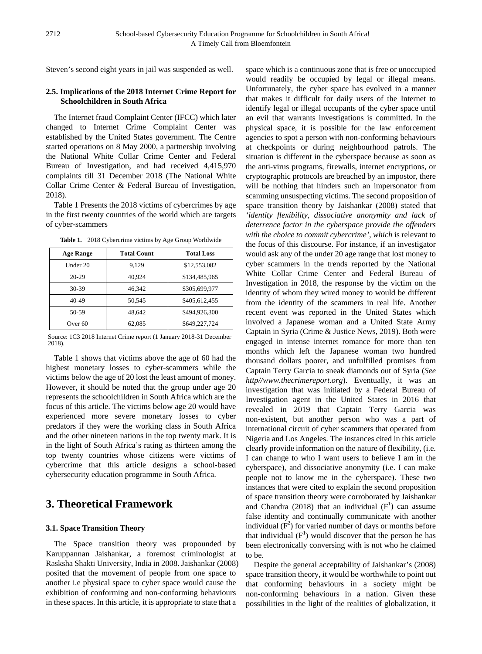Steven's second eight years in jail was suspended as well.

## **2.5. Implications of the 2018 Internet Crime Report for Schoolchildren in South Africa**

The Internet fraud Complaint Center (IFCC) which later changed to Internet Crime Complaint Center was established by the United States government. The Centre started operations on 8 May 2000, a partnership involving the National White Collar Crime Center and Federal Bureau of Investigation, and had received 4,415,970 complaints till 31 December 2018 (The National White Collar Crime Center & Federal Bureau of Investigation, 2018).

Table 1 Presents the 2018 victims of cybercrimes by age in the first twenty countries of the world which are targets of cyber-scammers

| <b>Age Range</b>   | <b>Total Count</b> | <b>Total Loss</b> |
|--------------------|--------------------|-------------------|
| Under 20           | 9,129              | \$12,553,082      |
| 20-29              | 40.924             | \$134,485,965     |
| 30-39              | 46.342             | \$305,699,977     |
| 40-49              | 50.545             | \$405,612,455     |
| 50-59              | 48.642             | \$494,926,300     |
| Over <sub>60</sub> | 62,085             | \$649,227,724     |

**Table 1.** 2018 Cybercrime victims by Age Group Worldwide

Source: 1C3 2018 Internet Crime report (1 January 2018-31 December 2018).

Table 1 shows that victims above the age of 60 had the highest monetary losses to cyber-scammers while the victims below the age of 20 lost the least amount of money. However, it should be noted that the group under age 20 represents the schoolchildren in South Africa which are the focus of this article. The victims below age 20 would have experienced more severe monetary losses to cyber predators if they were the working class in South Africa and the other nineteen nations in the top twenty mark. It is in the light of South Africa's rating as thirteen among the top twenty countries whose citizens were victims of cybercrime that this article designs a school-based cybersecurity education programme in South Africa.

# **3. Theoretical Framework**

## **3.1. Space Transition Theory**

The Space transition theory was propounded by Karuppannan Jaishankar, a foremost criminologist at Rasksha Shakti University, India in 2008. Jaishankar (2008) posited that the movement of people from one space to another i.e physical space to cyber space would cause the exhibition of conforming and non-conforming behaviours in these spaces. In this article, it is appropriate to state that a

space which is a continuous zone that is free or unoccupied would readily be occupied by legal or illegal means. Unfortunately, the cyber space has evolved in a manner that makes it difficult for daily users of the Internet to identify legal or illegal occupants of the cyber space until an evil that warrants investigations is committed. In the physical space, it is possible for the law enforcement agencies to spot a person with non-conforming behaviours at checkpoints or during neighbourhood patrols. The situation is different in the cyberspace because as soon as the anti-virus programs, firewalls, internet encryptions, or cryptographic protocols are breached by an impostor, there will be nothing that hinders such an impersonator from scamming unsuspecting victims. The second proposition of space transition theory by Jaishankar (2008) stated that *'identity flexibility, dissociative anonymity and lack of deterrence factor in the cyberspace provide the offenders with the choice to commit cybercrime', which* is relevant to the focus of this discourse. For instance, if an investigator would ask any of the under 20 age range that lost money to cyber scammers in the trends reported by the National White Collar Crime Center and Federal Bureau of Investigation in 2018, the response by the victim on the identity of whom they wired money to would be different from the identity of the scammers in real life. Another recent event was reported in the United States which involved a Japanese woman and a United State Army Captain in Syria (Crime & Justice News, 2019). Both were engaged in intense internet romance for more than ten months which left the Japanese woman two hundred thousand dollars poorer, and unfulfilled promises from Captain Terry Garcia to sneak diamonds out of Syria (*See http//www.thecrimereport.org*). Eventually, it was an investigation that was initiated by a Federal Bureau of Investigation agent in the United States in 2016 that revealed in 2019 that Captain Terry Garcia was non-existent, but another person who was a part of international circuit of cyber scammers that operated from Nigeria and Los Angeles. The instances cited in this article clearly provide information on the nature of flexibility, (i.e. I can change to who I want users to believe I am in the cyberspace), and dissociative anonymity (i.e. I can make people not to know me in the cyberspace). These two instances that were cited to explain the second proposition of space transition theory were corroborated by Jaishankar and Chandra (2018) that an individual  $(F<sup>1</sup>)$  can assume false identity and continually communicate with another individual  $(F^2)$  for varied number of days or months before that individual  $(F<sup>1</sup>)$  would discover that the person he has been electronically conversing with is not who he claimed to be.

Despite the general acceptability of Jaishankar's (2008) space transition theory, it would be worthwhile to point out that conforming behaviours in a society might be non-conforming behaviours in a nation. Given these possibilities in the light of the realities of globalization, it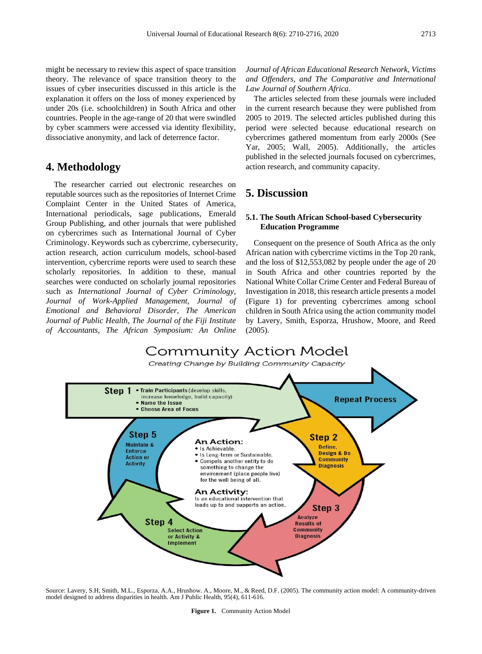might be necessary to review this aspect of space transition theory. The relevance of space transition theory to the issues of cyber insecurities discussed in this article is the explanation it offers on the loss of money experienced by under 20s (i.e. schoolchildren) in South Africa and other countries. People in the age-range of 20 that were swindled by cyber scammers were accessed via identity flexibility, dissociative anonymity, and lack of deterrence factor.

# **4. Methodology**

The researcher carried out electronic researches on reputable sources such as the repositories of Internet Crime Complaint Center in the United States of America, International periodicals, sage publications, Emerald Group Publishing, and other journals that were published on cybercrimes such as International Journal of Cyber Criminology. Keywords such as cybercrime, cybersecurity, action research, action curriculum models, school-based intervention, cybercrime reports were used to search these scholarly repositories. In addition to these, manual searches were conducted on scholarly journal repositories such as *International Journal of Cyber Criminology, Journal of Work-Applied Management, Journal of Emotional and Behavioral Disorder, The American Journal of Public Health, The Journal of the Fiji Institute of Accountants, The African Symposium: An Online* 

*Journal of African Educational Research Network, Victims and Offenders, and The Comparative and International Law Journal of Southern Africa.* 

The articles selected from these journals were included in the current research because they were published from 2005 to 2019. The selected articles published during this period were selected because educational research on cybercrimes gathered momentum from early 2000s (See Yar, 2005; Wall, 2005). Additionally, the articles published in the selected journals focused on cybercrimes, action research, and community capacity.

## **5. Discussion**

#### **5.1. The South African School-based Cybersecurity Education Programme**

Consequent on the presence of South Africa as the only African nation with cybercrime victims in the Top 20 rank, and the loss of \$12,553,082 by people under the age of 20 in South Africa and other countries reported by the National White Collar Crime Center and Federal Bureau of Investigation in 2018, this research article presents a model (Figure 1) for preventing cybercrimes among school children in South Africa using the action community model by Lavery, Smith, Esporza, Hrushow, Moore, and Reed (2005).



Source: Lavery, S.H, Smith, M.L., Esporza, A.A., Hrushow. A., Moore, M., & Reed, D.F. (2005). The community action model: A community-driven model designed to address disparities in health. Am J Public Health, 95(4), 611-616.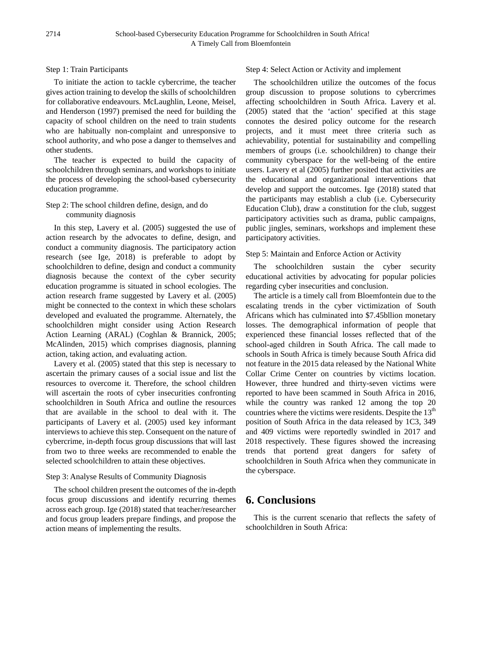Step 1: Train Participants

To initiate the action to tackle cybercrime, the teacher gives action training to develop the skills of schoolchildren for collaborative endeavours. McLaughlin, Leone, Meisel, and Henderson (1997) premised the need for building the capacity of school children on the need to train students who are habitually non-complaint and unresponsive to school authority, and who pose a danger to themselves and other students.

The teacher is expected to build the capacity of schoolchildren through seminars, and workshops to initiate the process of developing the school-based cybersecurity education programme.

#### Step 2: The school children define, design, and do community diagnosis

In this step, Lavery et al. (2005) suggested the use of action research by the advocates to define, design, and conduct a community diagnosis. The participatory action research (see Ige, 2018) is preferable to adopt by schoolchildren to define, design and conduct a community diagnosis because the context of the cyber security education programme is situated in school ecologies. The action research frame suggested by Lavery et al. (2005) might be connected to the context in which these scholars developed and evaluated the programme. Alternately, the schoolchildren might consider using Action Research Action Learning (ARAL) (Coghlan & Brannick, 2005; McAlinden, 2015) which comprises diagnosis, planning action, taking action, and evaluating action.

Lavery et al. (2005) stated that this step is necessary to ascertain the primary causes of a social issue and list the resources to overcome it. Therefore, the school children will ascertain the roots of cyber insecurities confronting schoolchildren in South Africa and outline the resources that are available in the school to deal with it. The participants of Lavery et al. (2005) used key informant interviews to achieve this step. Consequent on the nature of cybercrime, in-depth focus group discussions that will last from two to three weeks are recommended to enable the selected schoolchildren to attain these objectives.

## Step 3: Analyse Results of Community Diagnosis

The school children present the outcomes of the in-depth focus group discussions and identify recurring themes across each group. Ige (2018) stated that teacher/researcher and focus group leaders prepare findings, and propose the action means of implementing the results.

### Step 4: Select Action or Activity and implement

The schoolchildren utilize the outcomes of the focus group discussion to propose solutions to cybercrimes affecting schoolchildren in South Africa. Lavery et al. (2005) stated that the 'action' specified at this stage connotes the desired policy outcome for the research projects, and it must meet three criteria such as achievability, potential for sustainability and compelling members of groups (i.e. schoolchildren) to change their community cyberspace for the well-being of the entire users. Lavery et al (2005) further posited that activities are the educational and organizational interventions that develop and support the outcomes. Ige (2018) stated that the participants may establish a club (i.e. Cybersecurity Education Club), draw a constitution for the club, suggest participatory activities such as drama, public campaigns, public jingles, seminars, workshops and implement these participatory activities.

## Step 5: Maintain and Enforce Action or Activity

The schoolchildren sustain the cyber security educational activities by advocating for popular policies regarding cyber insecurities and conclusion.

The article is a timely call from Bloemfontein due to the escalating trends in the cyber victimization of South Africans which has culminated into \$7.45bllion monetary losses. The demographical information of people that experienced these financial losses reflected that of the school-aged children in South Africa. The call made to schools in South Africa is timely because South Africa did not feature in the 2015 data released by the National White Collar Crime Center on countries by victims location. However, three hundred and thirty-seven victims were reported to have been scammed in South Africa in 2016, while the country was ranked 12 among the top 20 countries where the victims were residents. Despite the  $13<sup>th</sup>$ position of South Africa in the data released by 1C3, 349 and 409 victims were reportedly swindled in 2017 and 2018 respectively. These figures showed the increasing trends that portend great dangers for safety of schoolchildren in South Africa when they communicate in the cyberspace.

# **6. Conclusions**

This is the current scenario that reflects the safety of schoolchildren in South Africa: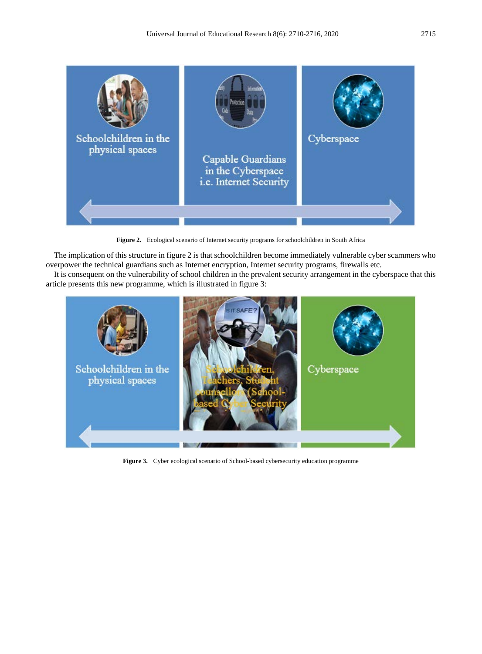

**Figure 2.** Ecological scenario of Internet security programs for schoolchildren in South Africa

The implication of this structure in figure 2 is that schoolchildren become immediately vulnerable cyber scammers who overpower the technical guardians such as Internet encryption, Internet security programs, firewalls etc.

It is consequent on the vulnerability of school children in the prevalent security arrangement in the cyberspace that this article presents this new programme, which is illustrated in figure 3:



**Figure 3.** Cyber ecological scenario of School-based cybersecurity education programme